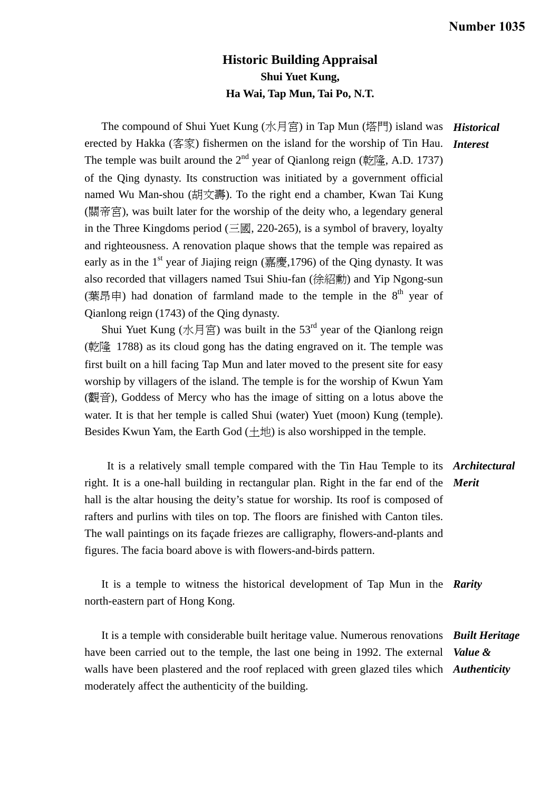## **Historic Building Appraisal Shui Yuet Kung, Ha Wai, Tap Mun, Tai Po, N.T.**

The compound of Shui Yuet Kung (水月宮) in Tap Mun (塔門) island was *Historical*  erected by Hakka (客家) fishermen on the island for the worship of Tin Hau. *Interest*  The temple was built around the  $2<sup>nd</sup>$  year of Qianlong reign (乾隆, A.D. 1737) of the Qing dynasty. Its construction was initiated by a government official named Wu Man-shou (胡文壽). To the right end a chamber, Kwan Tai Kung (關帝宮), was built later for the worship of the deity who, a legendary general in the Three Kingdoms period ( $\equiv \boxtimes$ , 220-265), is a symbol of bravery, loyalty and righteousness. A renovation plaque shows that the temple was repaired as early as in the  $1<sup>st</sup>$  year of Jiajing reign (嘉慶,1796) of the Qing dynasty. It was also recorded that villagers named Tsui Shiu-fan (徐紹勳) and Yip Ngong-sun (葉昂申) had donation of farmland made to the temple in the  $8<sup>th</sup>$  year of Qianlong reign (1743) of the Qing dynasty.

Shui Yuet Kung (水月宮) was built in the 53<sup>rd</sup> year of the Qianlong reign (乾隆 1788) as its cloud gong has the dating engraved on it. The temple was first built on a hill facing Tap Mun and later moved to the present site for easy worship by villagers of the island. The temple is for the worship of Kwun Yam (觀音), Goddess of Mercy who has the image of sitting on a lotus above the water. It is that her temple is called Shui (water) Yuet (moon) Kung (temple). Besides Kwun Yam, the Earth God  $(+\n\pm 1)$  is also worshipped in the temple.

 It is a relatively small temple compared with the Tin Hau Temple to its *Architectural*  right. It is a one-hall building in rectangular plan. Right in the far end of the *Merit*  hall is the altar housing the deity's statue for worship. Its roof is composed of rafters and purlins with tiles on top. The floors are finished with Canton tiles. The wall paintings on its façade friezes are calligraphy, flowers-and-plants and figures. The facia board above is with flowers-and-birds pattern.

 It is a temple to witness the historical development of Tap Mun in the *Rarity*  north-eastern part of Hong Kong.

 It is a temple with considerable built heritage value. Numerous renovations *Built Heritage*  have been carried out to the temple, the last one being in 1992. The external walls have been plastered and the roof replaced with green glazed tiles which *Authenticity*  moderately affect the authenticity of the building. *Value &*